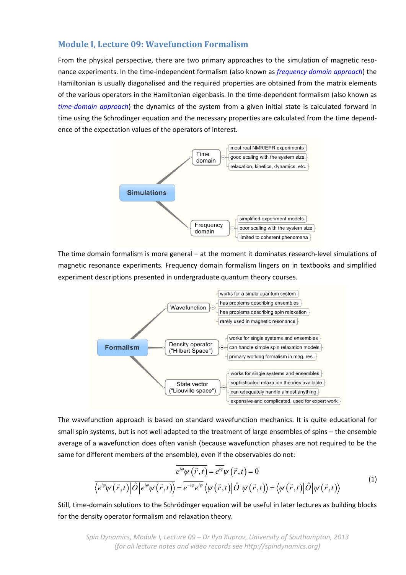## **Module I, Lecture 09: Wavefunction Formalism**

From the physical perspective, there are two primary approaches to the simulation of magnetic resonance experiments. In the time‐independent formalism (also known as *frequency domain approach*) the Hamiltonian is usually diagonalised and the required properties are obtained from the matrix elements of the various operators in the Hamiltonian eigenbasis. In the time‐dependent formalism (also known as *time‐domain approach*) the dynamics of the system from a given initial state is calculated forward in time using the Schrodinger equation and the necessary properties are calculated from the time dependence of the expectation values of the operators of interest.



The time domain formalism is more general – at the moment it dominates research-level simulations of magnetic resonance experiments. Frequency domain formalism lingers on in textbooks and simplified experiment descriptions presented in undergraduate quantum theory courses.



The wavefunction approach is based on standard wavefunction mechanics. It is quite educational for small spin systems, but is not well adapted to the treatment of large ensembles of spins – the ensemble average of a wavefunction does often vanish (because wavefunction phases are not required to be the same for different members of the ensemble), even if the observables do not:

$$
\overline{e^{i\varphi}\psi(\vec{r},t)} = \overline{e^{i\varphi}\psi(\vec{r},t)} = 0
$$
\n
$$
\langle e^{i\varphi}\psi(\vec{r},t)|\hat{O}|e^{i\varphi}\psi(\vec{r},t)\rangle = \overline{e^{-i\varphi}e^{i\varphi}}\langle\psi(\vec{r},t)|\hat{O}|\psi(\vec{r},t)\rangle = \langle\psi(\vec{r},t)|\hat{O}|\psi(\vec{r},t)\rangle
$$
\n(1)

Still, time-domain solutions to the Schrödinger equation will be useful in later lectures as building blocks for the density operator formalism and relaxation theory.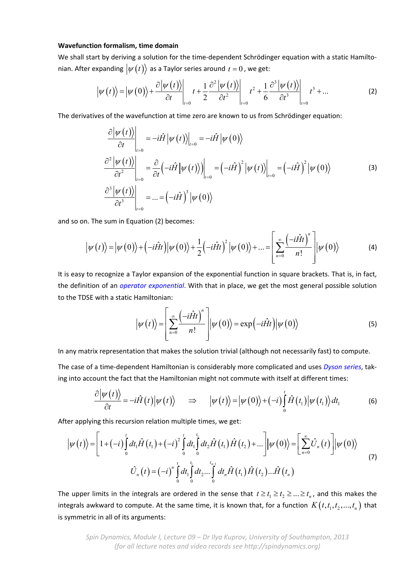## **Wavefunction formalism, time domain**

We shall start by deriving a solution for the time-dependent Schrödinger equation with a static Hamiltonian. After expanding  $\ket{\psi(t)}$  as a Taylor series around  $t = 0$ , we get:

$$
\left|\psi(t)\right\rangle = \left|\psi(0)\right\rangle + \frac{\partial \left|\psi(t)\right\rangle}{\partial t}\Big|_{t=0} t + \frac{1}{2} \frac{\partial^2 \left|\psi(t)\right\rangle}{\partial t^2}\Big|_{t=0} t^2 + \frac{1}{6} \frac{\partial^3 \left|\psi(t)\right\rangle}{\partial t^3}\Big|_{t=0} t^3 + \dots
$$
 (2)

The derivatives of the wavefunction at time zero are known to us from Schrödinger equation:

$$
\frac{\partial |\psi(t)\rangle}{\partial t}\Big|_{t=0} = -i\hat{H} |\psi(t)\rangle\Big|_{t=0} = -i\hat{H} |\psi(0)\rangle
$$
\n
$$
\frac{\partial^2 |\psi(t)\rangle}{\partial t^2}\Big|_{t=0} = \frac{\partial}{\partial t} \Big(-i\hat{H} |\psi(t)\rangle\Big)\Big|_{t=0} = \Big(-i\hat{H}\Big)^2 |\psi(t)\rangle\Big|_{t=0} = \Big(-i\hat{H}\Big)^2 |\psi(0)\rangle
$$
\n(3)\n
$$
\frac{\partial^3 |\psi(t)\rangle}{\partial t^3}\Big|_{t=0} = ... = \Big(-i\hat{H}\Big)^3 |\psi(0)\rangle
$$

and so on. The sum in Equation (2) becomes:

$$
\left|\psi(t)\right\rangle = \left|\psi(0)\right\rangle + \left(-i\hat{H}t\right)\left|\psi(0)\right\rangle + \frac{1}{2}\left(-i\hat{H}t\right)^{2}\left|\psi(0)\right\rangle + \dots = \left[\sum_{n=0}^{\infty} \frac{\left(-i\hat{H}t\right)^{n}}{n!}\right]\left|\psi(0)\right\rangle \tag{4}
$$

It is easy to recognize a Taylor expansion of the exponential function in square brackets. That is, in fact, the definition of an *operator exponential*. With that in place, we get the most general possible solution to the TDSE with a static Hamiltonian:

$$
\left|\psi(t)\right\rangle = \left[\sum_{n=0}^{\infty} \frac{\left(-i\hat{H}t\right)^n}{n!} \right] \left|\psi(0)\right\rangle = \exp\left(-i\hat{H}t\right) \left|\psi(0)\right\rangle \tag{5}
$$

In any matrix representation that makes the solution trivial (although not necessarily fast) to compute.

The case of a time‐dependent Hamiltonian is considerably more complicated and uses *Dyson series*, tak‐ ing into account the fact that the Hamiltonian might not commute with itself at different times:

$$
\frac{\partial |\psi(t)\rangle}{\partial t} = -i\hat{H}(t)|\psi(t)\rangle \quad \Rightarrow \quad |\psi(t)\rangle = |\psi(0)\rangle + (-i)\int_{0}^{t} \hat{H}(t_1)|\psi(t_1)\rangle dt_1 \tag{6}
$$

After applying this recursion relation multiple times, we get:

$$
\left|\psi(t)\right\rangle = \left[1 + (-i)\int_{0}^{t} dt_{1} \hat{H}(t_{1}) + (-i)^{2} \int_{0}^{t} dt_{1} \int_{0}^{t_{1}} dt_{2} \hat{H}(t_{1}) \hat{H}(t_{2}) + \dots\right] \left|\psi(0)\right\rangle = \left[\sum_{n=0}^{\infty} \hat{U}_{n}(t)\right] \left|\psi(0)\right\rangle
$$
  

$$
\hat{U}_{n}(t) = (-i)^{n} \int_{0}^{t} dt_{1} \int_{0}^{t_{1}} dt_{2} \dots \int_{0}^{t_{n-1}} dt_{n} \hat{H}(t_{1}) \hat{H}(t_{2}) \dots \hat{H}(t_{n})
$$
\n(7)

The upper limits in the integrals are ordered in the sense that  $t \ge t_1 \ge t_2 \ge ... \ge t_n$ , and this makes the integrals awkward to compute. At the same time, it is known that, for a function  $K(t, t_1, t_2, ..., t_n)$  that is symmetric in all of its arguments: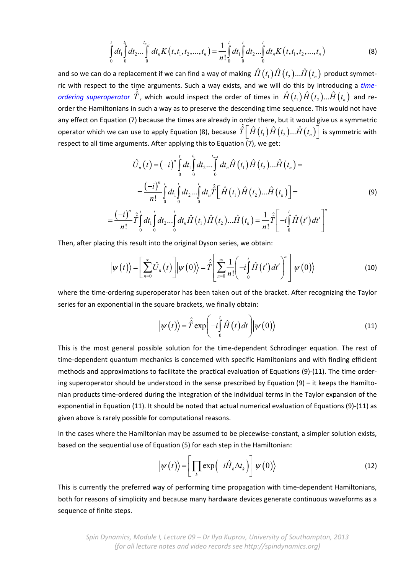$$
\int_{0}^{t} dt_1 \int_{0}^{t_1} dt_2 \dots \int_{0}^{t_{n-1}} dt_n K(t, t_1, t_2, \dots, t_n) = \frac{1}{n!} \int_{0}^{t} dt_1 \int_{0}^{t} dt_2 \dots \int_{0}^{t} dt_n K(t, t_1, t_2, \dots, t_n)
$$
\n(8)

and so we can do a replacement if we can find a way of making  $\hat{H}(t_1)\hat{H}(t_2)... \hat{H}(t_n)$  product symmetric with respect to the time arguments. Such a way exists, and we will do this by introducing a *time‐ ordering superoperator*  $\hat{T}$ , which would inspect the order of times in  $\hat{H}(t_1)\hat{H}(t_2)... \hat{H}(t_n)$  and reorder the Hamiltonians in such a way as to preserve the descending time sequence. This would not have any effect on Equation (7) because the times are already in order there, but it would give us a symmetric operator which we can use to apply Equation (8), because  $\hat{\hat{T}}\Big[\hat{H}\big(t_1\big)\hat{H}\big(t_2\big)...\hat{H}\big(t_n\big)\Big]$  is symmetric with respect to all time arguments. After applying this to Equation  $\overline{17}$ , we get:

$$
\hat{U}_{n}(t) = (-i)^{n} \int_{0}^{t} dt_{1} \int_{0}^{t_{1}} dt_{2} \dots \int_{0}^{t_{n-1}} dt_{n} \hat{H}(t_{1}) \hat{H}(t_{2}) \dots \hat{H}(t_{n}) =
$$
\n
$$
= \frac{(-i)^{n}}{n!} \int_{0}^{t} dt_{1} \int_{0}^{t} dt_{2} \dots \int_{0}^{t} dt_{n} \hat{T} \Big[ \hat{H}(t_{1}) \hat{H}(t_{2}) \dots \hat{H}(t_{n}) \Big] =
$$
\n
$$
= \frac{(-i)^{n}}{n!} \hat{T} \int_{0}^{t} dt_{1} \int_{0}^{t} dt_{2} \dots \int_{0}^{t} dt_{n} \hat{H}(t_{1}) \hat{H}(t_{2}) \dots \hat{H}(t_{n}) = \frac{1}{n!} \hat{T} \Big[ -i \int_{0}^{t} \hat{H}(t') dt' \Big]^{n}
$$
\n(9)

Then, after placing this result into the original Dyson series, we obtain:

$$
\left|\psi(t)\right\rangle = \left[\sum_{n=0}^{\infty} \hat{U}_n(t)\right] \left|\psi(0)\right\rangle = \hat{\hat{T}} \left[\sum_{n=0}^{\infty} \frac{1}{n!} \left(-i\int_{0}^{t} \hat{H}(t')dt'\right)^{n}\right] \left|\psi(0)\right\rangle \tag{10}
$$

where the time-ordering superoperator has been taken out of the bracket. After recognizing the Taylor series for an exponential in the square brackets, we finally obtain:

$$
\left|\psi(t)\right\rangle = \hat{\hat{T}} \exp\left(-i\int_{0}^{t} \hat{H}(t) dt\right) \left|\psi(0)\right\rangle \tag{11}
$$

This is the most general possible solution for the time‐dependent Schrodinger equation. The rest of time-dependent quantum mechanics is concerned with specific Hamiltonians and with finding efficient methods and approximations to facilitate the practical evaluation of Equations (9)‐(11). The time order‐ ing superoperator should be understood in the sense prescribed by Equation (9) – it keeps the Hamilto‐ nian products time‐ordered during the integration of the individual terms in the Taylor expansion of the exponential in Equation (11). It should be noted that actual numerical evaluation of Equations (9)‐(11) as given above is rarely possible for computational reasons.

In the cases where the Hamiltonian may be assumed to be piecewise-constant, a simpler solution exists, based on the sequential use of Equation (5) for each step in the Hamiltonian:

$$
\left|\psi(t)\right\rangle = \left[\prod_{k} \exp\left(-i\hat{H}_{k}\Delta t_{k}\right)\right] \left|\psi(0)\right\rangle \tag{12}
$$

This is currently the preferred way of performing time propagation with time‐dependent Hamiltonians, both for reasons of simplicity and because many hardware devices generate continuous waveforms as a sequence of finite steps.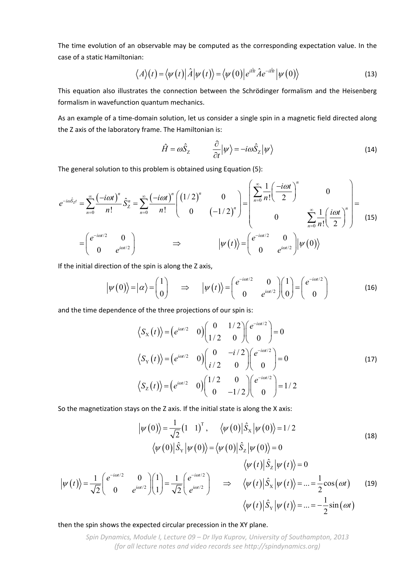The time evolution of an observable may be computed as the corresponding expectation value. In the case of a static Hamiltonian:

$$
\langle A \rangle(t) = \langle \psi(t) | \hat{A} | \psi(t) \rangle = \langle \psi(0) | e^{i\hat{H}t} \hat{A} e^{-i\hat{H}t} | \psi(0) \rangle \tag{13}
$$

This equation also illustrates the connection between the Schrödinger formalism and the Heisenberg formalism in wavefunction quantum mechanics.

As an example of a time‐domain solution, let us consider a single spin in a magnetic field directed along the Z axis of the laboratory frame. The Hamiltonian is:

$$
\hat{H} = \omega \hat{S}_z \qquad \frac{\partial}{\partial t} |\psi\rangle = -i\omega \hat{S}_z |\psi\rangle \qquad (14)
$$

The general solution to this problem is obtained using Equation (5):

$$
e^{-i\omega \hat{S}_{Z}t} = \sum_{n=0}^{\infty} \frac{(-i\omega t)^n}{n!} \hat{S}_Z^n = \sum_{n=0}^{\infty} \frac{(-i\omega t)^n}{n!} \begin{pmatrix} (1/2)^n & 0 \\ 0 & (-1/2)^n \end{pmatrix} = \begin{pmatrix} \sum_{n=0}^{\infty} \frac{1}{n!} \left( \frac{-i\omega t}{2} \right)^n & 0 \\ 0 & \sum_{n=0}^{\infty} \frac{1}{n!} \left( \frac{i\omega t}{2} \right)^n \end{pmatrix} = \begin{pmatrix} e^{-i\omega t/2} & 0 \\ 0 & e^{i\omega t/2} \end{pmatrix} \Rightarrow \qquad |\psi(t)\rangle = \begin{pmatrix} e^{-i\omega t/2} & 0 \\ 0 & e^{i\omega t/2} \end{pmatrix} |\psi(0)\rangle \tag{15}
$$

If the initial direction of the spin is along the Z axis,

$$
\left|\psi(0)\right\rangle = \left|\alpha\right\rangle = \begin{pmatrix} 1 \\ 0 \end{pmatrix} \implies \left|\psi(t)\right\rangle = \begin{pmatrix} e^{-i\omega t/2} & 0 \\ 0 & e^{i\omega t/2} \end{pmatrix} \begin{pmatrix} 1 \\ 0 \end{pmatrix} = \begin{pmatrix} e^{-i\omega t/2} \\ 0 \end{pmatrix}
$$
(16)

and the time dependence of the three projections of our spin is:

$$
\langle S_{\rm X}(t) \rangle = \left( e^{i\omega t/2} \quad 0 \right) \begin{pmatrix} 0 & 1/2 \\ 1/2 & 0 \end{pmatrix} \begin{pmatrix} e^{-i\omega t/2} \\ 0 \end{pmatrix} = 0
$$
  

$$
\langle S_{\rm Y}(t) \rangle = \left( e^{i\omega t/2} \quad 0 \right) \begin{pmatrix} 0 & -i/2 \\ i/2 & 0 \end{pmatrix} \begin{pmatrix} e^{-i\omega t/2} \\ 0 \end{pmatrix} = 0
$$
  

$$
\langle S_{\rm Z}(t) \rangle = \left( e^{i\omega t/2} \quad 0 \right) \begin{pmatrix} 1/2 & 0 \\ 0 & -1/2 \end{pmatrix} \begin{pmatrix} e^{-i\omega t/2} \\ 0 \end{pmatrix} = 1/2
$$
 (17)

So the magnetization stays on the Z axis. If the initial state is along the X axis:

$$
\left|\psi(0)\right\rangle = \frac{1}{\sqrt{2}}\begin{pmatrix}1 & 1\end{pmatrix}^{\mathrm{T}}, \quad \left\langle\psi(0)\right|\hat{S}_{\chi}\left|\psi(0)\right\rangle = 1/2
$$
\n
$$
\left\langle\psi(0)\right|\hat{S}_{\gamma}\left|\psi(0)\right\rangle = \left\langle\psi(0)\right|\hat{S}_{\chi}\left|\psi(0)\right\rangle = 0
$$
\n
$$
\left\langle\psi(t)\right|\hat{S}_{\chi}\left|\psi(t)\right\rangle = 0
$$
\n
$$
\left|\psi(t)\right\rangle = \frac{1}{\sqrt{2}}\begin{pmatrix}e^{-i\omega t/2} & 0\\ 0 & e^{i\omega t/2}\end{pmatrix}\begin{pmatrix}1\\ 1\end{pmatrix} = \frac{1}{\sqrt{2}}\begin{pmatrix}e^{-i\omega t/2}\\ e^{i\omega t/2}\end{pmatrix} \implies \left\langle\psi(t)\right|\hat{S}_{\chi}\left|\psi(t)\right\rangle = ... = \frac{1}{2}\cos(\omega t) \quad (19)
$$
\n
$$
\left\langle\psi(t)\right|\hat{S}_{\gamma}\left|\psi(t)\right\rangle = ... = -\frac{1}{2}\sin(\omega t)
$$

## then the spin shows the expected circular precession in the XY plane.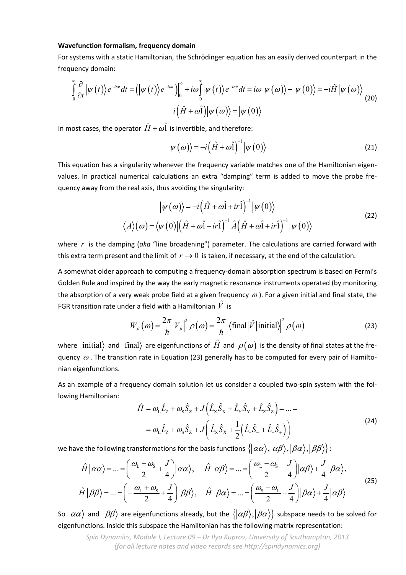## **Wavefunction formalism, frequency domain**

For systems with a static Hamiltonian, the Schrödinger equation has an easily derived counterpart in the frequency domain:

$$
\int_{0}^{\infty} \frac{\partial}{\partial t} \left| \psi(t) \right\rangle e^{-i\omega t} dt = \left( \left| \psi(t) \right\rangle e^{-i\omega t} \right) \Big|_{0}^{\infty} + i\omega \int_{0}^{\infty} \left| \psi(t) \right\rangle e^{-i\omega t} dt = i\omega \left| \psi(\omega) \right\rangle - \left| \psi(0) \right\rangle = -i\hat{H} \left| \psi(\omega) \right\rangle
$$
\n
$$
i(\hat{H} + \omega \hat{1}) \left| \psi(\omega) \right\rangle = \left| \psi(0) \right\rangle
$$
\n(20)

In most cases, the operator  $\hat{H} + \omega \hat{\mathbf{l}}$  is invertible, and therefore:

$$
\left|\psi\left(\omega\right)\right\rangle = -i\left(\hat{H} + \omega\hat{1}\right)^{-1}\left|\psi\left(0\right)\right\rangle\tag{21}
$$

This equation has a singularity whenever the frequency variable matches one of the Hamiltonian eigenvalues. In practical numerical calculations an extra "damping" term is added to move the probe fre‐ quency away from the real axis, thus avoiding the singularity:

$$
\left|\psi\left(\omega\right)\right\rangle = -i\left(\hat{H} + \omega\hat{1} + ir\hat{1}\right)^{-1}\left|\psi\left(0\right)\right\rangle
$$
  

$$
\left\langle A\right\rangle\left(\omega\right) = \left\langle \psi\left(0\right)\right|\left(\hat{H} + \omega\hat{1} - ir\hat{1}\right)^{-1}\hat{A}\left(\hat{H} + \omega\hat{1} + ir\hat{1}\right)^{-1}\left|\psi\left(0\right)\right\rangle
$$
\n(22)

where *r* is the damping (aka "line broadening") parameter. The calculations are carried forward with this extra term present and the limit of  $r \rightarrow 0$  is taken, if necessary, at the end of the calculation.

A somewhat older approach to computing a frequency‐domain absorption spectrum is based on Fermi's Golden Rule and inspired by the way the early magnetic resonance instruments operated (by monitoring the absorption of a very weak probe field at a given frequency  $\omega$ ). For a given initial and final state, the FGR transition rate under a field with a Hamiltonian  $\hat{V}$  is

$$
W_{fi}(\omega) = \frac{2\pi}{\hbar} |V_{fi}|^2 \rho(\omega) = \frac{2\pi}{\hbar} | \langle \text{final} | \hat{V} | \text{initial} \rangle |^2 \rho(\omega)
$$
 (23)

where  $\ket{\text{initial}}$  and  $\ket{\text{final}}$  are eigenfunctions of  $\hat{H}$  and  $\rho(\omega)$  is the density of final states at the frequency  $\omega$ . The transition rate in Equation (23) generally has to be computed for every pair of Hamiltonian eigenfunctions.

As an example of a frequency domain solution let us consider a coupled two-spin system with the following Hamiltonian:

$$
\hat{H} = \omega_{\rm L} \hat{L}_{z} + \omega_{\rm S} \hat{S}_{z} + J \left( \hat{L}_{x} \hat{S}_{x} + \hat{L}_{y} \hat{S}_{y} + \hat{L}_{z} \hat{S}_{z} \right) = \dots =
$$
\n
$$
= \omega_{\rm L} \hat{L}_{z} + \omega_{\rm S} \hat{S}_{z} + J \left( \hat{L}_{x} \hat{S}_{x} + \frac{1}{2} \left( \hat{L}_{+} \hat{S}_{-} + \hat{L}_{-} \hat{S}_{+} \right) \right)
$$
\n(24)

we have the following transformations for the basis functions  $\{\vert\alpha\alpha\rangle,\vert\alpha\beta\rangle,\vert\beta\alpha\rangle,\vert\beta\beta\rangle\}$ :

$$
\hat{H}|\alpha\alpha\rangle = ... = \left(\frac{\omega_{\rm L} + \omega_{\rm S}}{2} + \frac{J}{4}\right)|\alpha\alpha\rangle, \quad \hat{H}|\alpha\beta\rangle = ... = \left(\frac{\omega_{\rm L} - \omega_{\rm S}}{2} - \frac{J}{4}\right)|\alpha\beta\rangle + \frac{J}{4}|\beta\alpha\rangle,
$$
\n
$$
\hat{H}|\beta\beta\rangle = ... = \left(-\frac{\omega_{\rm L} + \omega_{\rm S}}{2} + \frac{J}{4}\right)|\beta\beta\rangle, \quad \hat{H}|\beta\alpha\rangle = ... = \left(\frac{\omega_{\rm S} - \omega_{\rm L}}{2} - \frac{J}{4}\right)|\beta\alpha\rangle + \frac{J}{4}|\alpha\beta\rangle
$$
\n(25)

So  $|\alpha\alpha\rangle$  and  $|\beta\beta\rangle$  are eigenfunctions already, but the  $\{|\alpha\beta\rangle,|\beta\alpha\rangle\}$  subspace needs to be solved for eigenfunctions. Inside this subspace the Hamiltonian has the following matrix representation: